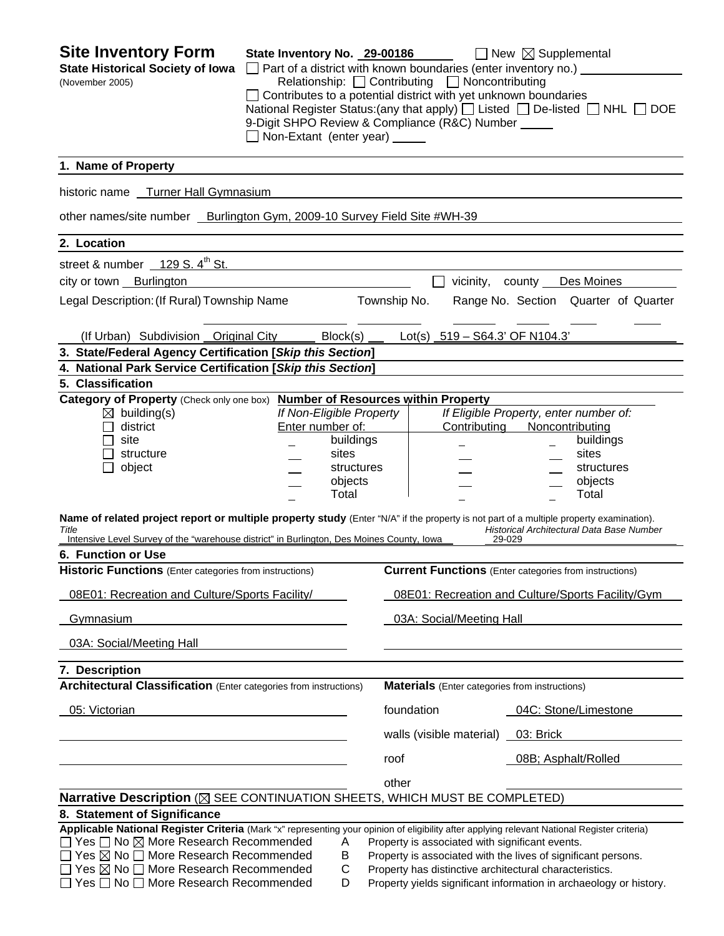| <b>Site Inventory Form</b><br><b>State Historical Society of Iowa</b><br>(November 2005)                                                                                                                                                                                                                                                                                                 | State Inventory No. 29-00186<br>$\Box$ Part of a district with known boundaries (enter inventory no.) $\Box$<br>Contributes to a potential district with yet unknown boundaries<br>9-Digit SHPO Review & Compliance (R&C) Number _____<br>$\Box$ Non-Extant (enter year) $\Box$ |                                                      |              | Relationship: Contributing D Noncontributing                                                                                                                                | $\Box$ New $\boxtimes$ Supplemental                       | National Register Status: (any that apply) $\Box$ Listed $\Box$ De-listed $\Box$ NHL $\Box$ DOE |
|------------------------------------------------------------------------------------------------------------------------------------------------------------------------------------------------------------------------------------------------------------------------------------------------------------------------------------------------------------------------------------------|---------------------------------------------------------------------------------------------------------------------------------------------------------------------------------------------------------------------------------------------------------------------------------|------------------------------------------------------|--------------|-----------------------------------------------------------------------------------------------------------------------------------------------------------------------------|-----------------------------------------------------------|-------------------------------------------------------------------------------------------------|
| 1. Name of Property                                                                                                                                                                                                                                                                                                                                                                      |                                                                                                                                                                                                                                                                                 |                                                      |              |                                                                                                                                                                             |                                                           |                                                                                                 |
| historic name Turner Hall Gymnasium                                                                                                                                                                                                                                                                                                                                                      |                                                                                                                                                                                                                                                                                 |                                                      |              |                                                                                                                                                                             |                                                           |                                                                                                 |
| other names/site number _ Burlington Gym, 2009-10 Survey Field Site #WH-39                                                                                                                                                                                                                                                                                                               |                                                                                                                                                                                                                                                                                 |                                                      |              |                                                                                                                                                                             |                                                           |                                                                                                 |
| 2. Location                                                                                                                                                                                                                                                                                                                                                                              |                                                                                                                                                                                                                                                                                 |                                                      |              |                                                                                                                                                                             |                                                           |                                                                                                 |
| street & number $129 S. 4th St.$                                                                                                                                                                                                                                                                                                                                                         |                                                                                                                                                                                                                                                                                 |                                                      |              |                                                                                                                                                                             |                                                           |                                                                                                 |
| city or town Burlington                                                                                                                                                                                                                                                                                                                                                                  |                                                                                                                                                                                                                                                                                 |                                                      |              |                                                                                                                                                                             | vicinity, county Des Moines                               |                                                                                                 |
| Legal Description: (If Rural) Township Name                                                                                                                                                                                                                                                                                                                                              |                                                                                                                                                                                                                                                                                 |                                                      | Township No. |                                                                                                                                                                             |                                                           | Range No. Section Quarter of Quarter                                                            |
| (If Urban) Subdivision Original City                                                                                                                                                                                                                                                                                                                                                     |                                                                                                                                                                                                                                                                                 | $Block(s)$ ___                                       |              | Lot(s) $519 - S64.3'$ OF N104.3'                                                                                                                                            |                                                           |                                                                                                 |
| 3. State/Federal Agency Certification [Skip this Section]                                                                                                                                                                                                                                                                                                                                |                                                                                                                                                                                                                                                                                 |                                                      |              |                                                                                                                                                                             |                                                           |                                                                                                 |
| 4. National Park Service Certification [Skip this Section]                                                                                                                                                                                                                                                                                                                               |                                                                                                                                                                                                                                                                                 |                                                      |              |                                                                                                                                                                             |                                                           |                                                                                                 |
| 5. Classification<br>Category of Property (Check only one box) Number of Resources within Property                                                                                                                                                                                                                                                                                       |                                                                                                                                                                                                                                                                                 |                                                      |              |                                                                                                                                                                             |                                                           |                                                                                                 |
| $\boxtimes$ building(s)<br>district<br>site<br>structure<br>object<br>Name of related project report or multiple property study (Enter "N/A" if the property is not part of a multiple property examination).                                                                                                                                                                            | If Non-Eligible Property<br>Enter number of:                                                                                                                                                                                                                                    | buildings<br>sites<br>structures<br>objects<br>Total |              | Contributing                                                                                                                                                                | If Eligible Property, enter number of:<br>Noncontributing | buildings<br>sites<br>structures<br>objects<br>Total                                            |
| Title<br>Intensive Level Survey of the "warehouse district" in Burlington, Des Moines County, Iowa                                                                                                                                                                                                                                                                                       |                                                                                                                                                                                                                                                                                 |                                                      |              |                                                                                                                                                                             | 29-029                                                    | Historical Architectural Data Base Number                                                       |
| 6. Function or Use                                                                                                                                                                                                                                                                                                                                                                       |                                                                                                                                                                                                                                                                                 |                                                      |              |                                                                                                                                                                             |                                                           |                                                                                                 |
| <b>Historic Functions</b> (Enter categories from instructions)                                                                                                                                                                                                                                                                                                                           |                                                                                                                                                                                                                                                                                 |                                                      |              | <b>Current Functions</b> (Enter categories from instructions)                                                                                                               |                                                           |                                                                                                 |
| 08E01: Recreation and Culture/Sports Facility/                                                                                                                                                                                                                                                                                                                                           |                                                                                                                                                                                                                                                                                 |                                                      |              |                                                                                                                                                                             |                                                           | 08E01: Recreation and Culture/Sports Facility/Gym                                               |
| Gymnasium                                                                                                                                                                                                                                                                                                                                                                                |                                                                                                                                                                                                                                                                                 |                                                      |              | 03A: Social/Meeting Hall                                                                                                                                                    |                                                           |                                                                                                 |
| 03A: Social/Meeting Hall                                                                                                                                                                                                                                                                                                                                                                 |                                                                                                                                                                                                                                                                                 |                                                      |              |                                                                                                                                                                             |                                                           |                                                                                                 |
| 7. Description                                                                                                                                                                                                                                                                                                                                                                           |                                                                                                                                                                                                                                                                                 |                                                      |              |                                                                                                                                                                             |                                                           |                                                                                                 |
| <b>Architectural Classification</b> (Enter categories from instructions)                                                                                                                                                                                                                                                                                                                 |                                                                                                                                                                                                                                                                                 |                                                      |              | <b>Materials</b> (Enter categories from instructions)                                                                                                                       |                                                           |                                                                                                 |
| 05: Victorian                                                                                                                                                                                                                                                                                                                                                                            |                                                                                                                                                                                                                                                                                 |                                                      | foundation   |                                                                                                                                                                             | 04C: Stone/Limestone                                      |                                                                                                 |
|                                                                                                                                                                                                                                                                                                                                                                                          |                                                                                                                                                                                                                                                                                 |                                                      |              | walls (visible material) _                                                                                                                                                  | 03: Brick                                                 |                                                                                                 |
|                                                                                                                                                                                                                                                                                                                                                                                          |                                                                                                                                                                                                                                                                                 |                                                      | roof         |                                                                                                                                                                             | 08B; Asphalt/Rolled                                       |                                                                                                 |
|                                                                                                                                                                                                                                                                                                                                                                                          |                                                                                                                                                                                                                                                                                 |                                                      | other        |                                                                                                                                                                             |                                                           |                                                                                                 |
| Narrative Description ( $\boxtimes$ SEE CONTINUATION SHEETS, WHICH MUST BE COMPLETED)                                                                                                                                                                                                                                                                                                    |                                                                                                                                                                                                                                                                                 |                                                      |              |                                                                                                                                                                             |                                                           |                                                                                                 |
| 8. Statement of Significance                                                                                                                                                                                                                                                                                                                                                             |                                                                                                                                                                                                                                                                                 |                                                      |              |                                                                                                                                                                             |                                                           |                                                                                                 |
| Applicable National Register Criteria (Mark "x" representing your opinion of eligibility after applying relevant National Register criteria)<br>$\Box$ Yes $\Box$ No $\boxtimes$ More Research Recommended<br>$\Box$ Yes $\boxtimes$ No $\Box$ More Research Recommended<br>Yes $\boxtimes$ No $\Box$ More Research Recommended<br>$\Box$ Yes $\Box$ No $\Box$ More Research Recommended |                                                                                                                                                                                                                                                                                 | Α<br>B<br>C<br>D                                     |              | Property is associated with significant events.<br>Property is associated with the lives of significant persons.<br>Property has distinctive architectural characteristics. |                                                           | Property yields significant information in archaeology or history.                              |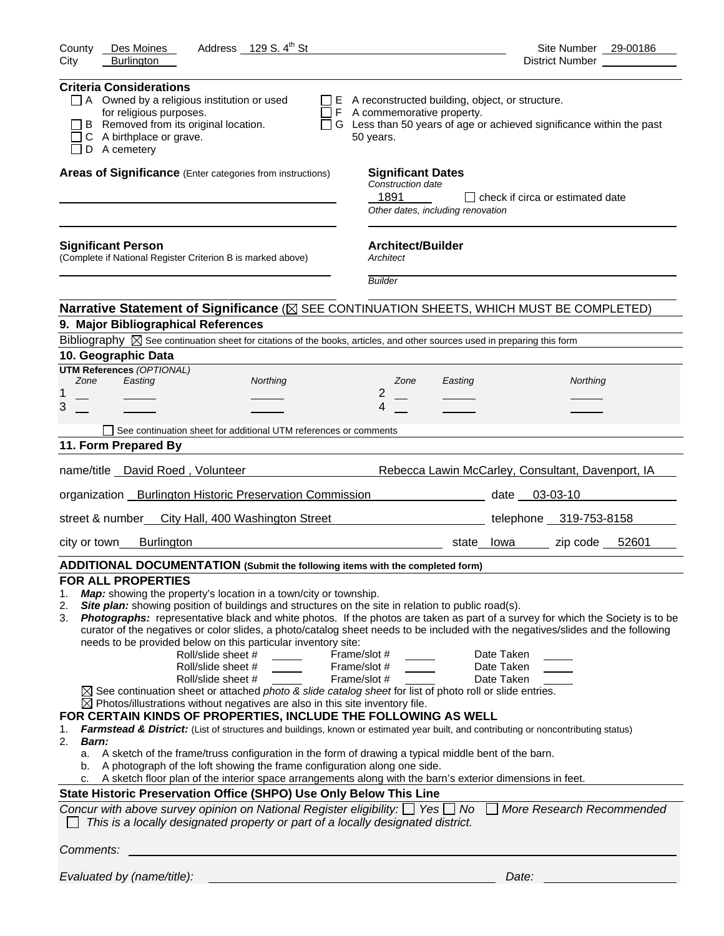| Address 129 S. 4 <sup>th</sup> St<br>County<br>Des Moines                                                                                                                                                                                                                                                                                                                                                                                                                                                                                                                                                                                                                                                                                                                                                                                                                                                                                                                                                                                                                                                                                                                                                                                                                                                                                                                                                                                                                                                                                                                                                                                                                                    | Site Number 29-00186                                                        |
|----------------------------------------------------------------------------------------------------------------------------------------------------------------------------------------------------------------------------------------------------------------------------------------------------------------------------------------------------------------------------------------------------------------------------------------------------------------------------------------------------------------------------------------------------------------------------------------------------------------------------------------------------------------------------------------------------------------------------------------------------------------------------------------------------------------------------------------------------------------------------------------------------------------------------------------------------------------------------------------------------------------------------------------------------------------------------------------------------------------------------------------------------------------------------------------------------------------------------------------------------------------------------------------------------------------------------------------------------------------------------------------------------------------------------------------------------------------------------------------------------------------------------------------------------------------------------------------------------------------------------------------------------------------------------------------------|-----------------------------------------------------------------------------|
| <b>Burlington</b><br>City                                                                                                                                                                                                                                                                                                                                                                                                                                                                                                                                                                                                                                                                                                                                                                                                                                                                                                                                                                                                                                                                                                                                                                                                                                                                                                                                                                                                                                                                                                                                                                                                                                                                    | District Number __________                                                  |
| <b>Criteria Considerations</b><br>$\Box$ A Owned by a religious institution or used<br>$\Box$ E A reconstructed building, object, or structure.<br>for religious purposes.<br>$\Box$ F A commemorative property.<br>B Removed from its original location.<br>C A birthplace or grave.<br>50 years.<br>D A cemetery                                                                                                                                                                                                                                                                                                                                                                                                                                                                                                                                                                                                                                                                                                                                                                                                                                                                                                                                                                                                                                                                                                                                                                                                                                                                                                                                                                           | $\Box$ G Less than 50 years of age or achieved significance within the past |
| Areas of Significance (Enter categories from instructions)<br><b>Significant Dates</b><br>Construction date<br>1891<br>Other dates, including renovation                                                                                                                                                                                                                                                                                                                                                                                                                                                                                                                                                                                                                                                                                                                                                                                                                                                                                                                                                                                                                                                                                                                                                                                                                                                                                                                                                                                                                                                                                                                                     | l I check if circa or estimated date                                        |
| <b>Architect/Builder</b><br><b>Significant Person</b><br>(Complete if National Register Criterion B is marked above)<br>Architect<br><b>Builder</b>                                                                                                                                                                                                                                                                                                                                                                                                                                                                                                                                                                                                                                                                                                                                                                                                                                                                                                                                                                                                                                                                                                                                                                                                                                                                                                                                                                                                                                                                                                                                          |                                                                             |
|                                                                                                                                                                                                                                                                                                                                                                                                                                                                                                                                                                                                                                                                                                                                                                                                                                                                                                                                                                                                                                                                                                                                                                                                                                                                                                                                                                                                                                                                                                                                                                                                                                                                                              |                                                                             |
| Narrative Statement of Significance ( $\boxtimes$ SEE CONTINUATION SHEETS, WHICH MUST BE COMPLETED)                                                                                                                                                                                                                                                                                                                                                                                                                                                                                                                                                                                                                                                                                                                                                                                                                                                                                                                                                                                                                                                                                                                                                                                                                                                                                                                                                                                                                                                                                                                                                                                          |                                                                             |
| 9. Major Bibliographical References                                                                                                                                                                                                                                                                                                                                                                                                                                                                                                                                                                                                                                                                                                                                                                                                                                                                                                                                                                                                                                                                                                                                                                                                                                                                                                                                                                                                                                                                                                                                                                                                                                                          |                                                                             |
| Bibliography $\boxtimes$ See continuation sheet for citations of the books, articles, and other sources used in preparing this form<br>10. Geographic Data                                                                                                                                                                                                                                                                                                                                                                                                                                                                                                                                                                                                                                                                                                                                                                                                                                                                                                                                                                                                                                                                                                                                                                                                                                                                                                                                                                                                                                                                                                                                   |                                                                             |
| <b>UTM References (OPTIONAL)</b>                                                                                                                                                                                                                                                                                                                                                                                                                                                                                                                                                                                                                                                                                                                                                                                                                                                                                                                                                                                                                                                                                                                                                                                                                                                                                                                                                                                                                                                                                                                                                                                                                                                             |                                                                             |
| Zone<br>Easting<br>Northing<br>Zone<br>Easting<br>2                                                                                                                                                                                                                                                                                                                                                                                                                                                                                                                                                                                                                                                                                                                                                                                                                                                                                                                                                                                                                                                                                                                                                                                                                                                                                                                                                                                                                                                                                                                                                                                                                                          | Northing                                                                    |
| 1<br>3<br>4                                                                                                                                                                                                                                                                                                                                                                                                                                                                                                                                                                                                                                                                                                                                                                                                                                                                                                                                                                                                                                                                                                                                                                                                                                                                                                                                                                                                                                                                                                                                                                                                                                                                                  |                                                                             |
|                                                                                                                                                                                                                                                                                                                                                                                                                                                                                                                                                                                                                                                                                                                                                                                                                                                                                                                                                                                                                                                                                                                                                                                                                                                                                                                                                                                                                                                                                                                                                                                                                                                                                              |                                                                             |
| See continuation sheet for additional UTM references or comments                                                                                                                                                                                                                                                                                                                                                                                                                                                                                                                                                                                                                                                                                                                                                                                                                                                                                                                                                                                                                                                                                                                                                                                                                                                                                                                                                                                                                                                                                                                                                                                                                             |                                                                             |
| 11. Form Prepared By                                                                                                                                                                                                                                                                                                                                                                                                                                                                                                                                                                                                                                                                                                                                                                                                                                                                                                                                                                                                                                                                                                                                                                                                                                                                                                                                                                                                                                                                                                                                                                                                                                                                         |                                                                             |
| name/title David Roed, Volunteer                                                                                                                                                                                                                                                                                                                                                                                                                                                                                                                                                                                                                                                                                                                                                                                                                                                                                                                                                                                                                                                                                                                                                                                                                                                                                                                                                                                                                                                                                                                                                                                                                                                             | Rebecca Lawin McCarley, Consultant, Davenport, IA                           |
| organization _ Burlington Historic Preservation Commission                                                                                                                                                                                                                                                                                                                                                                                                                                                                                                                                                                                                                                                                                                                                                                                                                                                                                                                                                                                                                                                                                                                                                                                                                                                                                                                                                                                                                                                                                                                                                                                                                                   | date 03-03-10                                                               |
| street & number<br>City Hall, 400 Washington Street                                                                                                                                                                                                                                                                                                                                                                                                                                                                                                                                                                                                                                                                                                                                                                                                                                                                                                                                                                                                                                                                                                                                                                                                                                                                                                                                                                                                                                                                                                                                                                                                                                          | telephone 319-753-8158                                                      |
| <b>Burlington</b><br>city or town                                                                                                                                                                                                                                                                                                                                                                                                                                                                                                                                                                                                                                                                                                                                                                                                                                                                                                                                                                                                                                                                                                                                                                                                                                                                                                                                                                                                                                                                                                                                                                                                                                                            | zip code 52601<br>state lowa                                                |
| ADDITIONAL DOCUMENTATION (Submit the following items with the completed form)                                                                                                                                                                                                                                                                                                                                                                                                                                                                                                                                                                                                                                                                                                                                                                                                                                                                                                                                                                                                                                                                                                                                                                                                                                                                                                                                                                                                                                                                                                                                                                                                                |                                                                             |
| <b>FOR ALL PROPERTIES</b><br>Map: showing the property's location in a town/city or township.<br>1.<br>Site plan: showing position of buildings and structures on the site in relation to public road(s).<br>2.<br>Photographs: representative black and white photos. If the photos are taken as part of a survey for which the Society is to be<br>3.<br>curator of the negatives or color slides, a photo/catalog sheet needs to be included with the negatives/slides and the following<br>needs to be provided below on this particular inventory site:<br>Roll/slide sheet #<br>Frame/slot #<br>Roll/slide sheet #<br>Frame/slot #<br>Roll/slide sheet #<br>Frame/slot #<br>$\boxtimes$ See continuation sheet or attached photo & slide catalog sheet for list of photo roll or slide entries.<br>$\boxtimes$ Photos/illustrations without negatives are also in this site inventory file.<br>FOR CERTAIN KINDS OF PROPERTIES, INCLUDE THE FOLLOWING AS WELL<br>Farmstead & District: (List of structures and buildings, known or estimated year built, and contributing or noncontributing status)<br>1.<br>2.<br>Barn:<br>a. A sketch of the frame/truss configuration in the form of drawing a typical middle bent of the barn.<br>A photograph of the loft showing the frame configuration along one side.<br>b.<br>A sketch floor plan of the interior space arrangements along with the barn's exterior dimensions in feet.<br>State Historic Preservation Office (SHPO) Use Only Below This Line<br>Concur with above survey opinion on National Register eligibility: $\Box$ Yes $\Box$ No<br>This is a locally designated property or part of a locally designated district. | Date Taken<br>Date Taken<br>Date Taken<br>More Research Recommended         |
| Comments:                                                                                                                                                                                                                                                                                                                                                                                                                                                                                                                                                                                                                                                                                                                                                                                                                                                                                                                                                                                                                                                                                                                                                                                                                                                                                                                                                                                                                                                                                                                                                                                                                                                                                    |                                                                             |
|                                                                                                                                                                                                                                                                                                                                                                                                                                                                                                                                                                                                                                                                                                                                                                                                                                                                                                                                                                                                                                                                                                                                                                                                                                                                                                                                                                                                                                                                                                                                                                                                                                                                                              |                                                                             |
| Evaluated by (name/title):                                                                                                                                                                                                                                                                                                                                                                                                                                                                                                                                                                                                                                                                                                                                                                                                                                                                                                                                                                                                                                                                                                                                                                                                                                                                                                                                                                                                                                                                                                                                                                                                                                                                   | Date:                                                                       |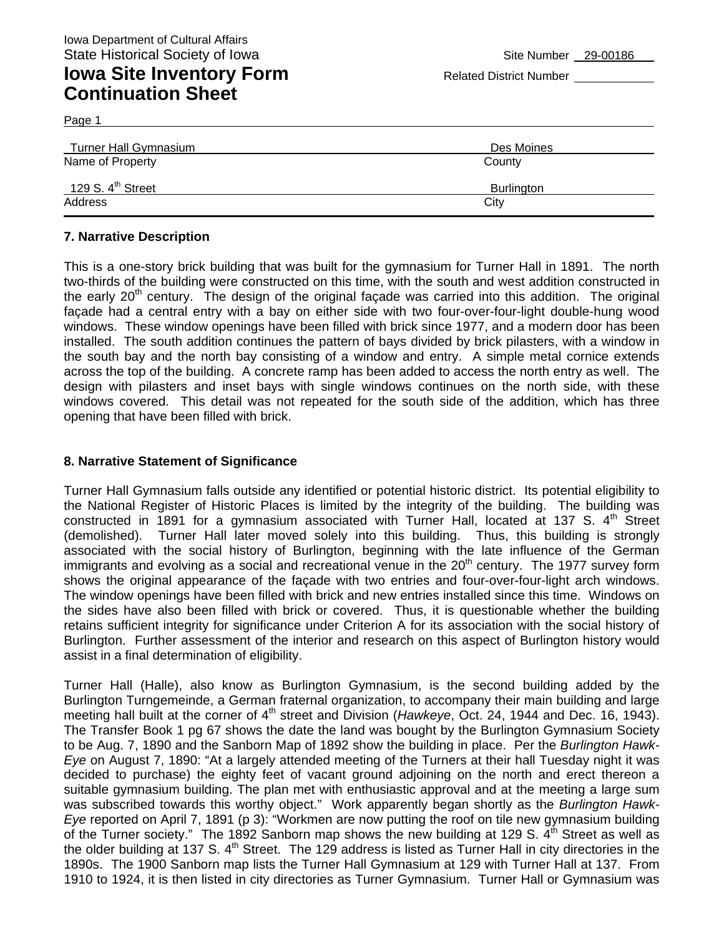Page 1

| Turner Hall Gymnasium         | Des Moines |
|-------------------------------|------------|
| Name of Property              | County     |
| 129 S. $4^{\text{th}}$ Street | Burlington |
| Address                       | City       |

#### **7. Narrative Description**

This is a one-story brick building that was built for the gymnasium for Turner Hall in 1891. The north two-thirds of the building were constructed on this time, with the south and west addition constructed in the early  $20<sup>th</sup>$  century. The design of the original façade was carried into this addition. The original façade had a central entry with a bay on either side with two four-over-four-light double-hung wood windows. These window openings have been filled with brick since 1977, and a modern door has been installed. The south addition continues the pattern of bays divided by brick pilasters, with a window in the south bay and the north bay consisting of a window and entry. A simple metal cornice extends across the top of the building. A concrete ramp has been added to access the north entry as well. The design with pilasters and inset bays with single windows continues on the north side, with these windows covered. This detail was not repeated for the south side of the addition, which has three opening that have been filled with brick.

#### **8. Narrative Statement of Significance**

Turner Hall Gymnasium falls outside any identified or potential historic district. Its potential eligibility to the National Register of Historic Places is limited by the integrity of the building. The building was constructed in 1891 for a gymnasium associated with Turner Hall, located at 137 S.  $4<sup>th</sup>$  Street (demolished). Turner Hall later moved solely into this building. Thus, this building is strongly associated with the social history of Burlington, beginning with the late influence of the German immigrants and evolving as a social and recreational venue in the 20<sup>th</sup> century. The 1977 survey form shows the original appearance of the façade with two entries and four-over-four-light arch windows. The window openings have been filled with brick and new entries installed since this time. Windows on the sides have also been filled with brick or covered. Thus, it is questionable whether the building retains sufficient integrity for significance under Criterion A for its association with the social history of Burlington. Further assessment of the interior and research on this aspect of Burlington history would assist in a final determination of eligibility.

Turner Hall (Halle), also know as Burlington Gymnasium, is the second building added by the Burlington Turngemeinde, a German fraternal organization, to accompany their main building and large meeting hall built at the corner of 4th street and Division (*Hawkeye*, Oct. 24, 1944 and Dec. 16, 1943). The Transfer Book 1 pg 67 shows the date the land was bought by the Burlington Gymnasium Society to be Aug. 7, 1890 and the Sanborn Map of 1892 show the building in place. Per the *Burlington Hawk-Eye* on August 7, 1890: "At a largely attended meeting of the Turners at their hall Tuesday night it was decided to purchase) the eighty feet of vacant ground adjoining on the north and erect thereon a suitable gymnasium building. The plan met with enthusiastic approval and at the meeting a large sum was subscribed towards this worthy object." Work apparently began shortly as the *Burlington Hawk-Eye* reported on April 7, 1891 (p 3): "Workmen are now putting the roof on tile new gymnasium building of the Turner society." The 1892 Sanborn map shows the new building at 129 S.  $\tilde{A}^{th}$  Street as well as the older building at 137 S. 4<sup>th</sup> Street. The 129 address is listed as Turner Hall in city directories in the 1890s. The 1900 Sanborn map lists the Turner Hall Gymnasium at 129 with Turner Hall at 137. From 1910 to 1924, it is then listed in city directories as Turner Gymnasium. Turner Hall or Gymnasium was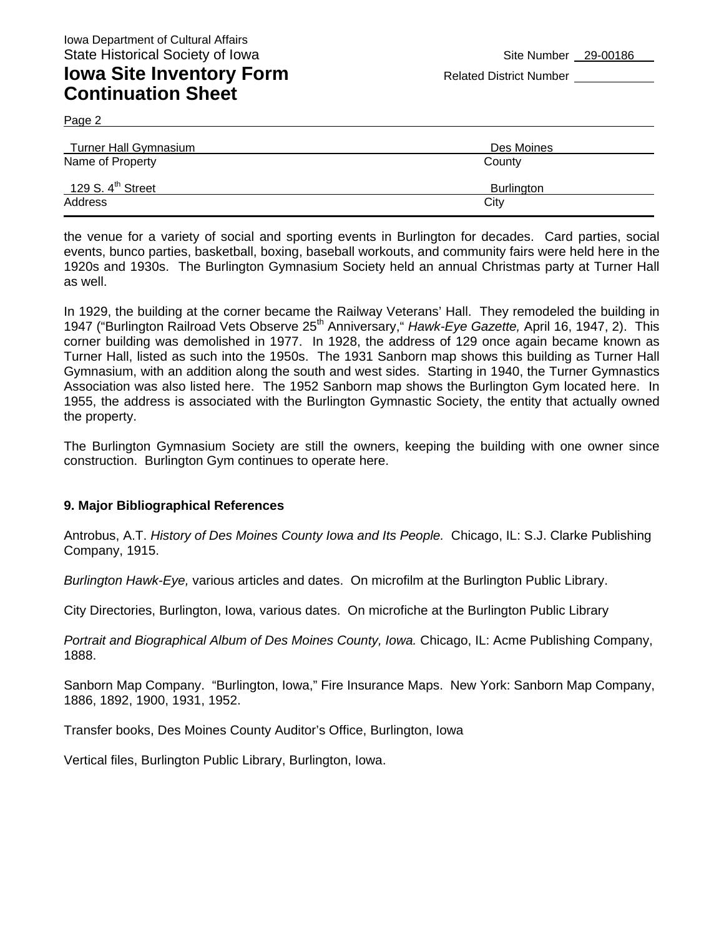### **Iowa Site Inventory Form** Related District Number **Related District Number Continuation Sheet**

Page 2

| Turner Hall Gymnasium         | Des Moines |
|-------------------------------|------------|
| Name of Property              | County     |
| 129 S. $4^{\text{th}}$ Street | Burlington |
| Address                       | City       |

the venue for a variety of social and sporting events in Burlington for decades. Card parties, social events, bunco parties, basketball, boxing, baseball workouts, and community fairs were held here in the 1920s and 1930s. The Burlington Gymnasium Society held an annual Christmas party at Turner Hall as well.

In 1929, the building at the corner became the Railway Veterans' Hall. They remodeled the building in 1947 ("Burlington Railroad Vets Observe 25<sup>th</sup> Anniversary," *Hawk-Eye Gazette, April* 16, 1947, 2). This corner building was demolished in 1977. In 1928, the address of 129 once again became known as Turner Hall, listed as such into the 1950s. The 1931 Sanborn map shows this building as Turner Hall Gymnasium, with an addition along the south and west sides. Starting in 1940, the Turner Gymnastics Association was also listed here. The 1952 Sanborn map shows the Burlington Gym located here. In 1955, the address is associated with the Burlington Gymnastic Society, the entity that actually owned the property.

The Burlington Gymnasium Society are still the owners, keeping the building with one owner since construction. Burlington Gym continues to operate here.

#### **9. Major Bibliographical References**

Antrobus, A.T. *History of Des Moines County Iowa and Its People.* Chicago, IL: S.J. Clarke Publishing Company, 1915.

*Burlington Hawk-Eye,* various articles and dates. On microfilm at the Burlington Public Library.

City Directories, Burlington, Iowa, various dates. On microfiche at the Burlington Public Library

*Portrait and Biographical Album of Des Moines County, Iowa.* Chicago, IL: Acme Publishing Company, 1888.

Sanborn Map Company. "Burlington, Iowa," Fire Insurance Maps. New York: Sanborn Map Company, 1886, 1892, 1900, 1931, 1952.

Transfer books, Des Moines County Auditor's Office, Burlington, Iowa

Vertical files, Burlington Public Library, Burlington, Iowa.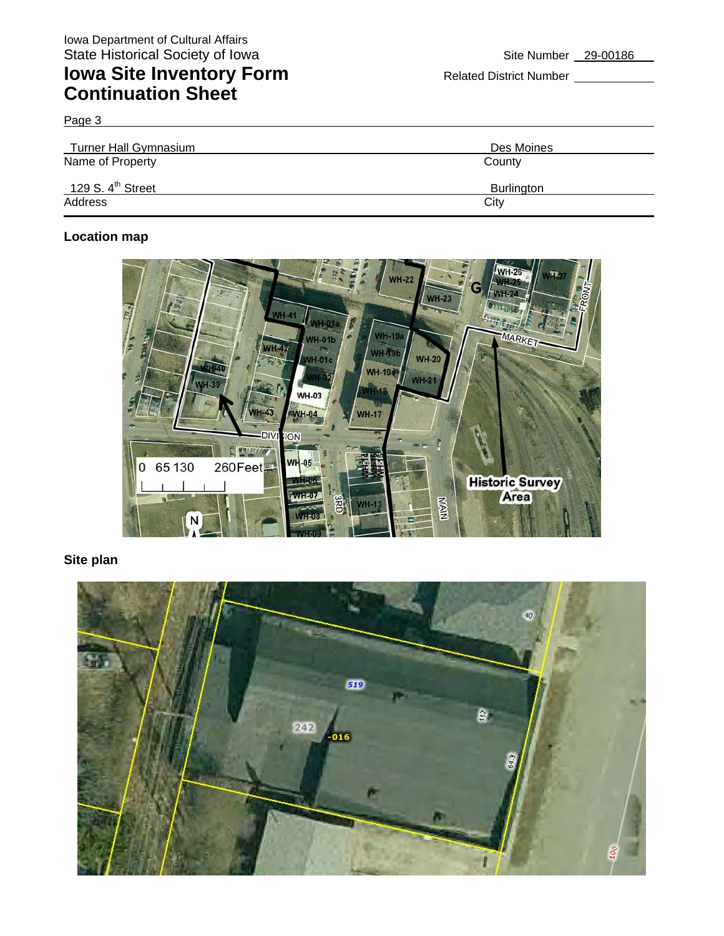Page 3

| Turner Hall Gymnasium         | Des Moines |
|-------------------------------|------------|
| Name of Property              | County     |
| 129 S. $4^{\text{th}}$ Street | Burlington |
| Address                       | City       |

### **Location map**



### **Site plan**

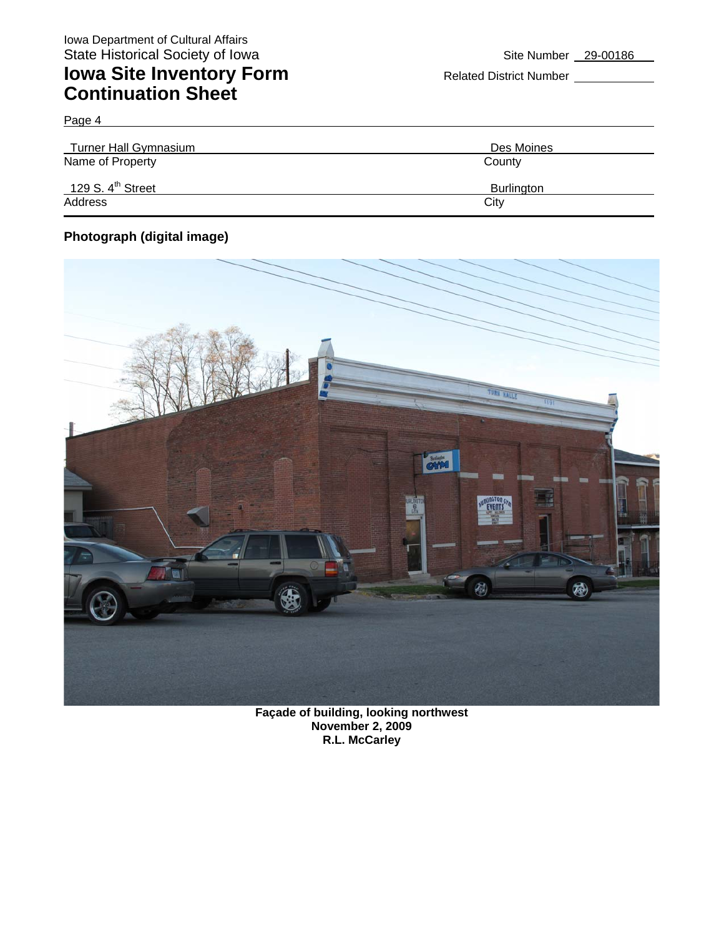| <b>Turner Hall Gymnasium</b>  | Des Moines |
|-------------------------------|------------|
| Name of Property              | County     |
| 129 S. $4^{\text{th}}$ Street | Burlington |
| Address                       | City       |

### **Photograph (digital image)**

Page 4



**Façade of building, looking northwest November 2, 2009 R.L. McCarley**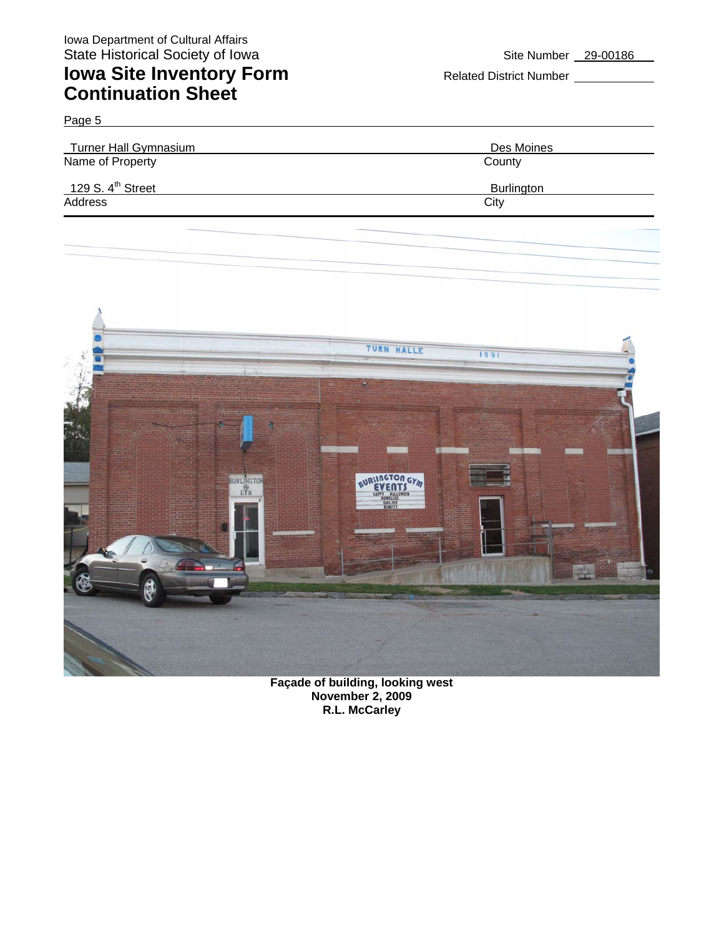| Page 5                        |                   |
|-------------------------------|-------------------|
| Turner Hall Gymnasium         | Des Moines        |
| Name of Property              | County            |
| 129 S. $4^{\text{th}}$ Street | <b>Burlington</b> |
| Address                       | City              |
|                               |                   |



**Façade of building, looking west November 2, 2009 R.L. McCarley**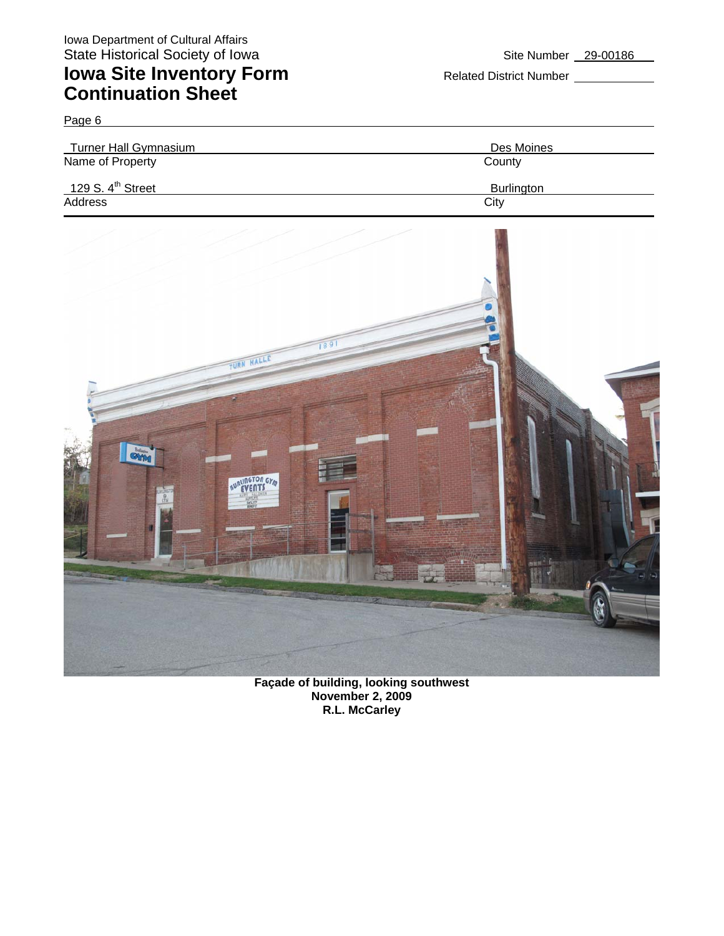Page 6 Turner Hall Gymnasium **Des Moines** Name of Property County 129 S. 4<sup>th</sup> Street Burlington Address City **City** 



**Façade of building, looking southwest November 2, 2009 R.L. McCarley**